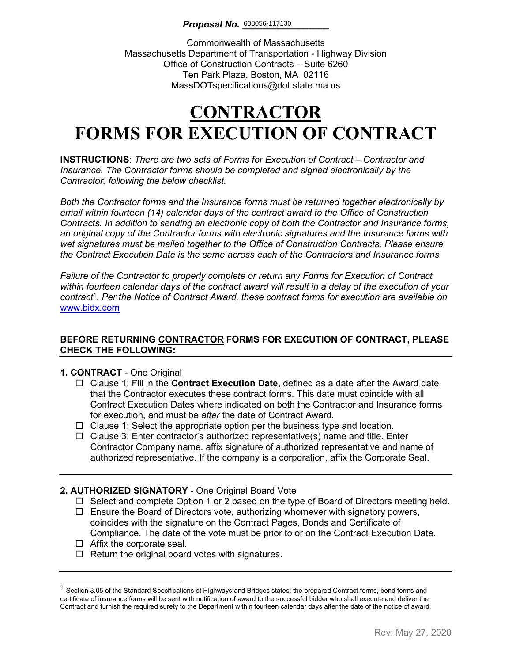Commonwealth of Massachusetts Massachusetts Department of Transportation - Highway Division Office of Construction Contracts – Suite 6260 Ten Park Plaza, Boston, MA 02116 MassDOTspecifications@dot.state.ma.us

# **CONTRACTOR FORMS FOR EXECUTION OF CONTRACT**

**INSTRUCTIONS**: *There are two sets of Forms for Execution of Contract – Contractor and Insurance. The Contractor forms should be completed and signed electronically by the Contractor, following the below checklist.* 

*Both the Contractor forms and the Insurance forms must be returned together electronically by email within fourteen (14) calendar days of the contract award to the Office of Construction Contracts. In addition to sending an electronic copy of both the Contractor and Insurance forms, an original copy of the Contractor forms with electronic signatures and the Insurance forms with wet signatures must be mailed together to the Office of Construction Contracts. Please ensure the Contract Execution Date is the same across each of the Contractors and Insurance forms.*

*Failure of the Contractor to properly complete or return any Forms for Execution of Contract within fourteen calendar days of the contract award will result in a delay of the execution of your contract*[1](#page-0-0) . *Per the Notice of Contract Award, these contract forms for execution are available on*  [www.bidx.com](http://www.bidx.com/)

#### **BEFORE RETURNING CONTRACTOR FORMS FOR EXECUTION OF CONTRACT, PLEASE CHECK THE FOLLOWING:**

#### **1. CONTRACT** - One Original

- Clause 1: Fill in the **Contract Execution Date,** defined as a date after the Award date that the Contractor executes these contract forms. This date must coincide with all Contract Execution Dates where indicated on both the Contractor and Insurance forms for execution, and must be *after* the date of Contract Award.
- $\Box$  Clause 1: Select the appropriate option per the business type and location.
- $\Box$  Clause 3: Enter contractor's authorized representative(s) name and title. Enter Contractor Company name, affix signature of authorized representative and name of authorized representative. If the company is a corporation, affix the Corporate Seal.

#### **2. AUTHORIZED SIGNATORY** - One Original Board Vote

- $\Box$  Select and complete Option 1 or 2 based on the type of Board of Directors meeting held.
- $\Box$  Ensure the Board of Directors vote, authorizing whomever with signatory powers, coincides with the signature on the Contract Pages, Bonds and Certificate of Compliance. The date of the vote must be prior to or on the Contract Execution Date.
- $\Box$  Affix the corporate seal.
- $\Box$  Return the original board votes with signatures.

<span id="page-0-0"></span> $1$  Section 3.05 of the Standard Specifications of Highways and Bridges states: the prepared Contract forms, bond forms and certificate of insurance forms will be sent with notification of award to the successful bidder who shall execute and deliver the Contract and furnish the required surety to the Department within fourteen calendar days after the date of the notice of award.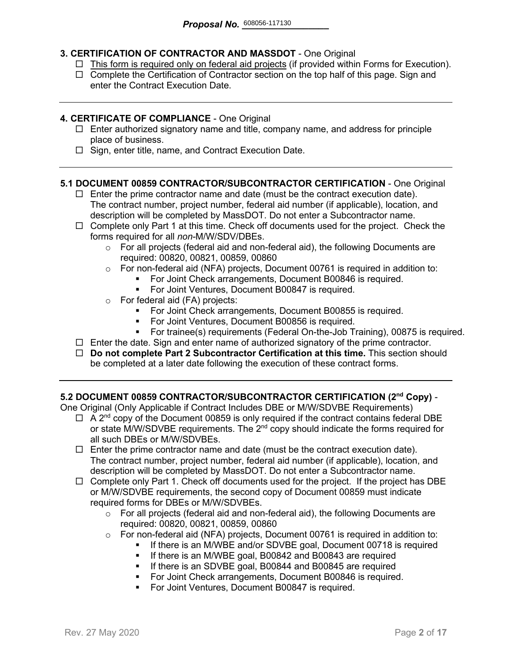#### **3. CERTIFICATION OF CONTRACTOR AND MASSDOT** - One Original

- $\Box$  This form is required only on federal aid projects (if provided within Forms for Execution).
- $\Box$  Complete the Certification of Contractor section on the top half of this page. Sign and enter the Contract Execution Date.

#### **4. CERTIFICATE OF COMPLIANCE** - One Original

- $\Box$  Enter authorized signatory name and title, company name, and address for principle place of business.
- $\Box$  Sign, enter title, name, and Contract Execution Date.

#### **5.1 DOCUMENT 00859 CONTRACTOR/SUBCONTRACTOR CERTIFICATION** - One Original

- $\Box$  Enter the prime contractor name and date (must be the contract execution date). The contract number, project number, federal aid number (if applicable), location, and description will be completed by MassDOT. Do not enter a Subcontractor name.
- $\Box$  Complete only Part 1 at this time. Check off documents used for the project. Check the forms required for all *non-*M/W/SDV/DBEs.
	- $\circ$  For all projects (federal aid and non-federal aid), the following Documents are required: 00820, 00821, 00859, 00860
	- o For non-federal aid (NFA) projects, Document 00761 is required in addition to:
		- For Joint Check arrangements, Document B00846 is required.
		- **For Joint Ventures, Document B00847 is required.**
	- o For federal aid (FA) projects:
		- **For Joint Check arrangements, Document B00855 is required.**
		- For Joint Ventures, Document B00856 is required.
		- For trainee(s) requirements (Federal On-the-Job Training), 00875 is required.
- $\Box$  Enter the date. Sign and enter name of authorized signatory of the prime contractor.
- **Do not complete Part 2 Subcontractor Certification at this time.** This section should be completed at a later date following the execution of these contract forms.

#### **5.2 DOCUMENT 00859 CONTRACTOR/SUBCONTRACTOR CERTIFICATION (2nd Copy)** -

One Original (Only Applicable if Contract Includes DBE or M/W/SDVBE Requirements)

- $\Box$  A 2<sup>nd</sup> copy of the Document 00859 is only required if the contract contains federal DBE or state M/W/SDVBE requirements. The  $2^{nd}$  copy should indicate the forms required for all such DBEs or M/W/SDVBEs.
- $\Box$  Enter the prime contractor name and date (must be the contract execution date). The contract number, project number, federal aid number (if applicable), location, and description will be completed by MassDOT. Do not enter a Subcontractor name.
- $\Box$  Complete only Part 1. Check off documents used for the project. If the project has DBE or M/W/SDVBE requirements, the second copy of Document 00859 must indicate required forms for DBEs or M/W/SDVBEs.
	- $\circ$  For all projects (federal aid and non-federal aid), the following Documents are required: 00820, 00821, 00859, 00860
	- o For non-federal aid (NFA) projects, Document 00761 is required in addition to:
		- If there is an M/WBE and/or SDVBE goal, Document 00718 is required
			- **If there is an M/WBE goal, B00842 and B00843 are required**
		- **If there is an SDVBE goal, B00844 and B00845 are required**
		- **For Joint Check arrangements, Document B00846 is required.**
		- **For Joint Ventures, Document B00847 is required.**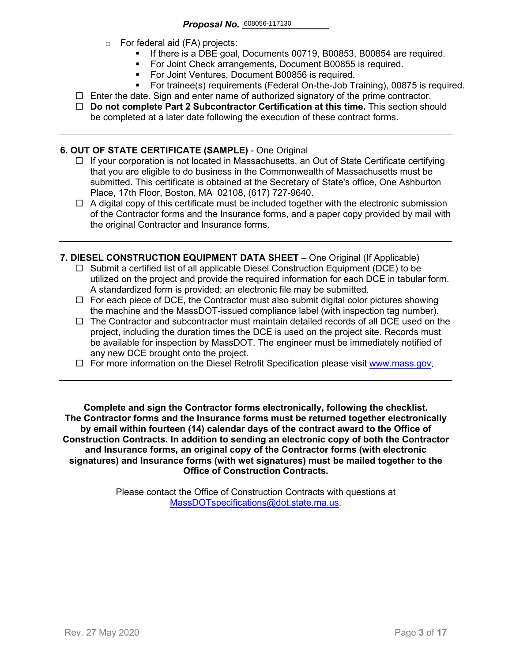- o For federal aid (FA) projects:
	- If there is a DBE goal, Documents 00719, B00853, B00854 are required.
	- For Joint Check arrangements, Document B00855 is required.
	- **For Joint Ventures, Document B00856 is required.**
	- For trainee(s) requirements (Federal On-the-Job Training), 00875 is required.
- $\Box$  Enter the date. Sign and enter name of authorized signatory of the prime contractor.
- **Do not complete Part 2 Subcontractor Certification at this time.** This section should be completed at a later date following the execution of these contract forms.

#### **6. OUT OF STATE CERTIFICATE (SAMPLE)** - One Original

- $\Box$  If your corporation is not located in Massachusetts, an Out of State Certificate certifying that you are eligible to do business in the Commonwealth of Massachusetts must be submitted. This certificate is obtained at the Secretary of State's office, One Ashburton Place, 17th Floor, Boston, MA 02108, (617) 727-9640.
- $\Box$  A digital copy of this certificate must be included together with the electronic submission of the Contractor forms and the Insurance forms, and a paper copy provided by mail with the original Contractor and Insurance forms.
- **7. DIESEL CONSTRUCTION EQUIPMENT DATA SHEET** One Original (If Applicable)
	- $\Box$  Submit a certified list of all applicable Diesel Construction Equipment (DCE) to be utilized on the project and provide the required information for each DCE in tabular form. A standardized form is provided; an electronic file may be submitted.
	- $\Box$  For each piece of DCE, the Contractor must also submit digital color pictures showing the machine and the MassDOT-issued compliance label (with inspection tag number).
	- $\Box$  The Contractor and subcontractor must maintain detailed records of all DCE used on the project, including the duration times the DCE is used on the project site. Records must be available for inspection by MassDOT. The engineer must be immediately notified of any new DCE brought onto the project.
	- $\Box$  For more information on the Diesel Retrofit Specification please visit [www.mass.gov.](https://www.mass.gov/service-details/massdot-diesel-retrofit-specification)

**Complete and sign the Contractor forms electronically, following the checklist. The Contractor forms and the Insurance forms must be returned together electronically by email within fourteen (14) calendar days of the contract award to the Office of Construction Contracts. In addition to sending an electronic copy of both the Contractor and Insurance forms, an original copy of the Contractor forms (with electronic signatures) and Insurance forms (with wet signatures) must be mailed together to the Office of Construction Contracts.**

> Please contact the Office of Construction Contracts with questions at [MassDOTspecifications@dot.state.ma.us.](mailto:MassDOTspecifications@dot.state.ma.us)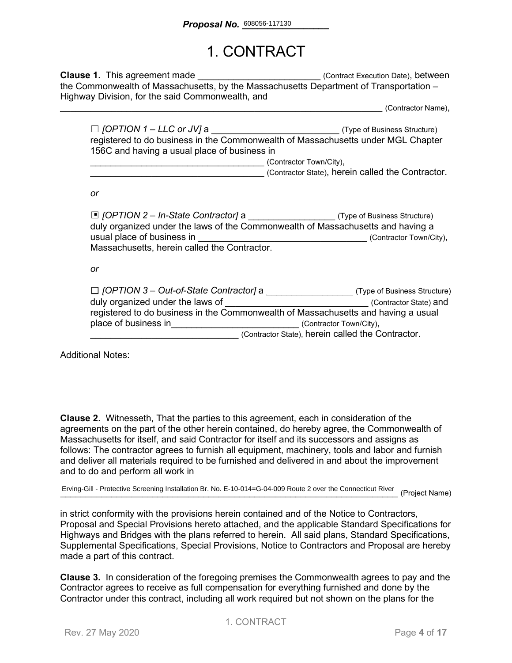### 1. CONTRACT

**Clause 1.** This agreement made **Execution Datel** (Contract Execution Date), between the Commonwealth of Massachusetts, by the Massachusetts Department of Transportation – Highway Division, for the said Commonwealth, and

\_\_\_\_\_\_\_\_\_\_\_\_\_\_\_\_\_\_\_\_\_\_\_\_\_\_\_\_\_\_\_\_\_\_\_\_\_\_\_\_\_\_\_\_\_\_\_\_\_\_\_\_\_\_\_\_\_\_\_\_\_\_\_ (Contractor Name),

| $\Box$ [OPTION 1 – LLC or JV] a              | (Type of Business Structure)                                                     |
|----------------------------------------------|----------------------------------------------------------------------------------|
|                                              | registered to do business in the Commonwealth of Massachusetts under MGL Chapter |
| 156C and having a usual place of business in |                                                                                  |
|                                              | (Contractor Town/City),                                                          |

(Contractor State), herein called the Contractor.

*or*

| $\Box$ [OPTION 2 – In-State Contractor] a<br>duly organized under the laws of the Commonwealth of Massachusetts and having a |                                                   | (Type of Business Structure) |
|------------------------------------------------------------------------------------------------------------------------------|---------------------------------------------------|------------------------------|
| usual place of business in                                                                                                   |                                                   | (Contractor Town/City),      |
| Massachusetts, herein called the Contractor.                                                                                 |                                                   |                              |
|                                                                                                                              |                                                   |                              |
| or                                                                                                                           |                                                   |                              |
|                                                                                                                              |                                                   |                              |
| $\Box$ [OPTION 3 – Out-of-State Contractor] a                                                                                |                                                   | (Type of Business Structure) |
| duly organized under the laws of                                                                                             |                                                   | (Contractor State) and       |
| registered to do business in the Commonwealth of Massachusetts and having a usual                                            |                                                   |                              |
| place of business in                                                                                                         |                                                   | (Contractor Town/City),      |
|                                                                                                                              | (Contractor State), herein called the Contractor. |                              |

Additional Notes:

**Clause 2.** Witnesseth, That the parties to this agreement, each in consideration of the agreements on the part of the other herein contained, do hereby agree, the Commonwealth of Massachusetts for itself, and said Contractor for itself and its successors and assigns as follows: The contractor agrees to furnish all equipment, machinery, tools and labor and furnish and deliver all materials required to be furnished and delivered in and about the improvement and to do and perform all work in

Erving-Gill - Protective Screening Installation Br. No. E-10-014=G-04-009 Route 2 over the Connecticut River (Project Name)

in strict conformity with the provisions herein contained and of the Notice to Contractors, Proposal and Special Provisions hereto attached, and the applicable Standard Specifications for Highways and Bridges with the plans referred to herein. All said plans, Standard Specifications, Supplemental Specifications, Special Provisions, Notice to Contractors and Proposal are hereby made a part of this contract.

**Clause 3.** In consideration of the foregoing premises the Commonwealth agrees to pay and the Contractor agrees to receive as full compensation for everything furnished and done by the Contractor under this contract, including all work required but not shown on the plans for the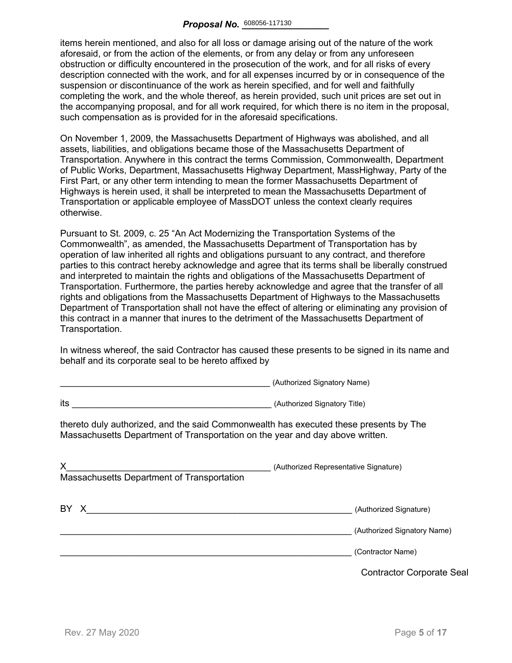items herein mentioned, and also for all loss or damage arising out of the nature of the work aforesaid, or from the action of the elements, or from any delay or from any unforeseen obstruction or difficulty encountered in the prosecution of the work, and for all risks of every description connected with the work, and for all expenses incurred by or in consequence of the suspension or discontinuance of the work as herein specified, and for well and faithfully completing the work, and the whole thereof, as herein provided, such unit prices are set out in the accompanying proposal, and for all work required, for which there is no item in the proposal, such compensation as is provided for in the aforesaid specifications.

On November 1, 2009, the Massachusetts Department of Highways was abolished, and all assets, liabilities, and obligations became those of the Massachusetts Department of Transportation. Anywhere in this contract the terms Commission, Commonwealth, Department of Public Works, Department, Massachusetts Highway Department, MassHighway, Party of the First Part, or any other term intending to mean the former Massachusetts Department of Highways is herein used, it shall be interpreted to mean the Massachusetts Department of Transportation or applicable employee of MassDOT unless the context clearly requires otherwise.

Pursuant to St. 2009, c. 25 "An Act Modernizing the Transportation Systems of the Commonwealth", as amended, the Massachusetts Department of Transportation has by operation of law inherited all rights and obligations pursuant to any contract, and therefore parties to this contract hereby acknowledge and agree that its terms shall be liberally construed and interpreted to maintain the rights and obligations of the Massachusetts Department of Transportation. Furthermore, the parties hereby acknowledge and agree that the transfer of all rights and obligations from the Massachusetts Department of Highways to the Massachusetts Department of Transportation shall not have the effect of altering or eliminating any provision of this contract in a manner that inures to the detriment of the Massachusetts Department of Transportation.

In witness whereof, the said Contractor has caused these presents to be signed in its name and behalf and its corporate seal to be hereto affixed by

\_\_\_\_\_\_\_\_\_\_\_\_\_\_\_\_\_\_\_\_\_\_\_\_\_\_\_\_\_\_\_\_\_\_\_\_\_\_\_\_\_ (Authorized Signatory Name)

|                                                                                                                                                                                                                                      | $\alpha$                                         |
|--------------------------------------------------------------------------------------------------------------------------------------------------------------------------------------------------------------------------------------|--------------------------------------------------|
| its<br>(Authorized Signatory Title) Contract to the Contract of Contract of Contract of Contract of Contract of Contract of Contract of Contract of Contract of Contract of Contract of Contract of Contract of Contract of Contract |                                                  |
| thereto duly authorized, and the said Commonwealth has executed these presents by The<br>Massachusetts Department of Transportation on the year and day above written.                                                               |                                                  |
| X<br>Massachusetts Department of Transportation                                                                                                                                                                                      | (Authorized Representative Signature)            |
| BY X                                                                                                                                                                                                                                 | (Authorized Signature)                           |
|                                                                                                                                                                                                                                      | (Authorized Signatory Name)<br>(Contractor Name) |
|                                                                                                                                                                                                                                      | <b>Contractor Corporate Seal</b>                 |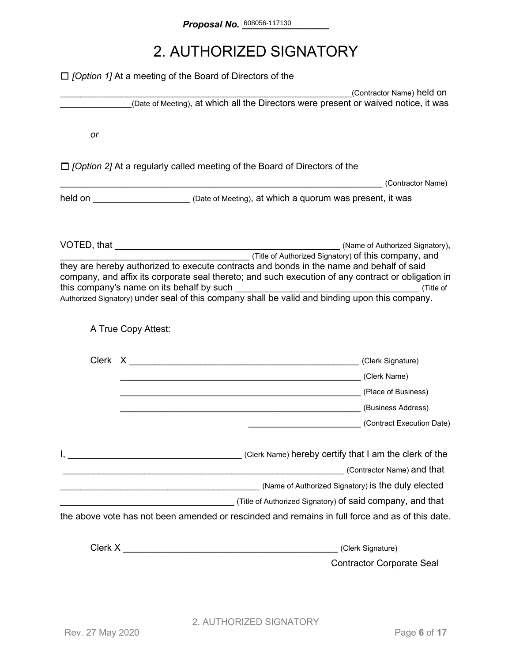### 2. AUTHORIZED SIGNATORY

|    | $\Box$ <i>[Option 1]</i> At a meeting of the Board of Directors of the                                                                                                                                                                                                                                                                                   |                                  |
|----|----------------------------------------------------------------------------------------------------------------------------------------------------------------------------------------------------------------------------------------------------------------------------------------------------------------------------------------------------------|----------------------------------|
|    | (Date of Meeting), at which all the Directors were present or waived notice, it was                                                                                                                                                                                                                                                                      | (Contractor Name) held on        |
|    |                                                                                                                                                                                                                                                                                                                                                          |                                  |
| or |                                                                                                                                                                                                                                                                                                                                                          |                                  |
|    | $\Box$ /Option 2] At a regularly called meeting of the Board of Directors of the                                                                                                                                                                                                                                                                         |                                  |
|    |                                                                                                                                                                                                                                                                                                                                                          | (Contractor Name)                |
|    | held on <u>New Your Chate of Meeting</u> ), at which a quorum was present, it was                                                                                                                                                                                                                                                                        |                                  |
|    |                                                                                                                                                                                                                                                                                                                                                          |                                  |
|    | (Title of Authorized Signatory) of this company, and<br>they are hereby authorized to execute contracts and bonds in the name and behalf of said<br>company, and affix its corporate seal thereto; and such execution of any contract or obligation in<br>Authorized Signatory) under seal of this company shall be valid and binding upon this company. |                                  |
|    | A True Copy Attest:                                                                                                                                                                                                                                                                                                                                      |                                  |
|    |                                                                                                                                                                                                                                                                                                                                                          |                                  |
|    | (Clerk Name) (Clerk Name)                                                                                                                                                                                                                                                                                                                                |                                  |
|    |                                                                                                                                                                                                                                                                                                                                                          |                                  |
|    |                                                                                                                                                                                                                                                                                                                                                          |                                  |
|    |                                                                                                                                                                                                                                                                                                                                                          | (Contract Execution Date)        |
|    | Clerk Name) hereby certify that I am the clerk of the contract the clerk of the                                                                                                                                                                                                                                                                          |                                  |
|    | <u> 1989 - Jan Samuel Barbara, martxa a shekara 1980 - Andrew Samuel Barbara, mashrida a shekara 1980 - Andrew S</u>                                                                                                                                                                                                                                     | (Contractor Name) and that       |
|    |                                                                                                                                                                                                                                                                                                                                                          |                                  |
|    |                                                                                                                                                                                                                                                                                                                                                          |                                  |
|    | the above vote has not been amended or rescinded and remains in full force and as of this date.                                                                                                                                                                                                                                                          |                                  |
|    | Clerk X New York Street, Street Street Street Street Street Street Street Street Street Street Street Street Street Street Street Street Street Street Street Street Street Street Street Street Street Street Street Street S                                                                                                                           | (Clerk Signature)                |
|    |                                                                                                                                                                                                                                                                                                                                                          | <b>Contractor Corporate Seal</b> |
|    |                                                                                                                                                                                                                                                                                                                                                          |                                  |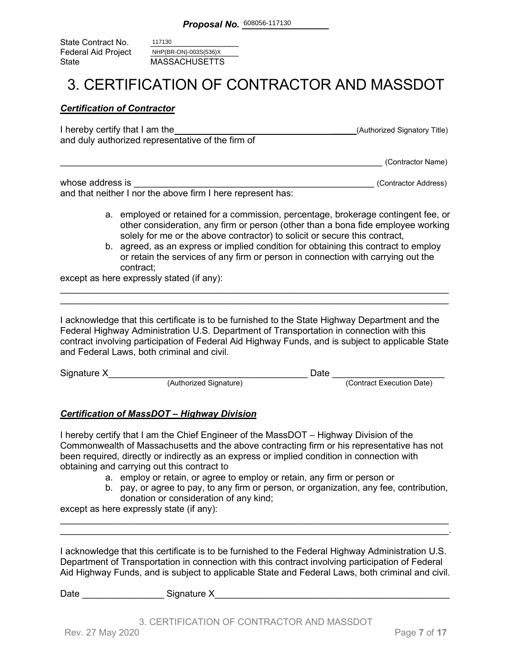State Contract No. Federal Aid Project<br>State **MASSACHUSETTS** 117130 NHP(BR-ON)-003S(536)X

### 3. CERTIFICATION OF CONTRACTOR AND MASSDOT

#### *Certification of Contractor*

| I hereby certify that I am the                    | (Authorized Signatory Title) |
|---------------------------------------------------|------------------------------|
| and duly authorized representative of the firm of |                              |
|                                                   |                              |

\_\_\_\_\_\_\_\_\_\_\_\_\_\_\_\_\_\_\_\_\_\_\_\_\_\_\_\_\_\_\_\_\_\_\_\_\_\_\_\_\_\_\_\_\_\_\_\_\_\_\_\_\_\_\_\_\_\_\_\_\_\_\_ (Contractor Name)

| whose address is                                            | (Contractor Address) |
|-------------------------------------------------------------|----------------------|
| and that neither I nor the above firm I here represent has: |                      |

- a. employed or retained for a commission, percentage, brokerage contingent fee, or other consideration, any firm or person (other than a bona fide employee working solely for me or the above contractor) to solicit or secure this contract,
- b. agreed, as an express or implied condition for obtaining this contract to employ or retain the services of any firm or person in connection with carrying out the contract;

except as here expressly stated (if any):

I acknowledge that this certificate is to be furnished to the State Highway Department and the Federal Highway Administration U.S. Department of Transportation in connection with this contract involving participation of Federal Aid Highway Funds, and is subject to applicable State and Federal Laws, both criminal and civil.

\_\_\_\_\_\_\_\_\_\_\_\_\_\_\_\_\_\_\_\_\_\_\_\_\_\_\_\_\_\_\_\_\_\_\_\_\_\_\_\_\_\_\_\_\_\_\_\_\_\_\_\_\_\_\_\_\_\_\_\_\_\_\_\_\_\_\_\_\_\_\_\_\_\_\_\_ \_\_\_\_\_\_\_\_\_\_\_\_\_\_\_\_\_\_\_\_\_\_\_\_\_\_\_\_\_\_\_\_\_\_\_\_\_\_\_\_\_\_\_\_\_\_\_\_\_\_\_\_\_\_\_\_\_\_\_\_\_\_\_\_\_\_\_\_\_\_\_\_\_\_\_\_

| Signature X |                        | )ate |                           |
|-------------|------------------------|------|---------------------------|
|             | (Authorized Signature) |      | (Contract Execution Date) |

#### *Certification of MassDOT – Highway Division*

I hereby certify that I am the Chief Engineer of the MassDOT – Highway Division of the Commonwealth of Massachusetts and the above contracting firm or his representative has not been required, directly or indirectly as an express or implied condition in connection with obtaining and carrying out this contract to

- a. employ or retain, or agree to employ or retain, any firm or person or
- b. pay, or agree to pay, to any firm or person, or organization, any fee, contribution, donation or consideration of any kind;

except as here expressly state (if any):

I acknowledge that this certificate is to be furnished to the Federal Highway Administration U.S. Department of Transportation in connection with this contract involving participation of Federal Aid Highway Funds, and is subject to applicable State and Federal Laws, both criminal and civil.

\_\_\_\_\_\_\_\_\_\_\_\_\_\_\_\_\_\_\_\_\_\_\_\_\_\_\_\_\_\_\_\_\_\_\_\_\_\_\_\_\_\_\_\_\_\_\_\_\_\_\_\_\_\_\_\_\_\_\_\_\_\_\_\_\_\_\_\_\_\_\_\_\_\_\_\_ \_\_\_\_\_\_\_\_\_\_\_\_\_\_\_\_\_\_\_\_\_\_\_\_\_\_\_\_\_\_\_\_\_\_\_\_\_\_\_\_\_\_\_\_\_\_\_\_\_\_\_\_\_\_\_\_\_\_\_\_\_\_\_\_\_\_\_\_\_\_\_\_\_\_\_\_.

Date \_\_\_\_\_\_\_\_\_\_\_\_\_\_\_\_ Signature X\_\_\_\_\_\_\_\_\_\_\_\_\_\_\_\_\_\_\_\_\_\_\_\_\_\_\_\_\_\_\_\_\_\_\_\_\_\_\_\_\_\_\_\_\_\_

3. CERTIFICATION OF CONTRACTOR AND MASSDOT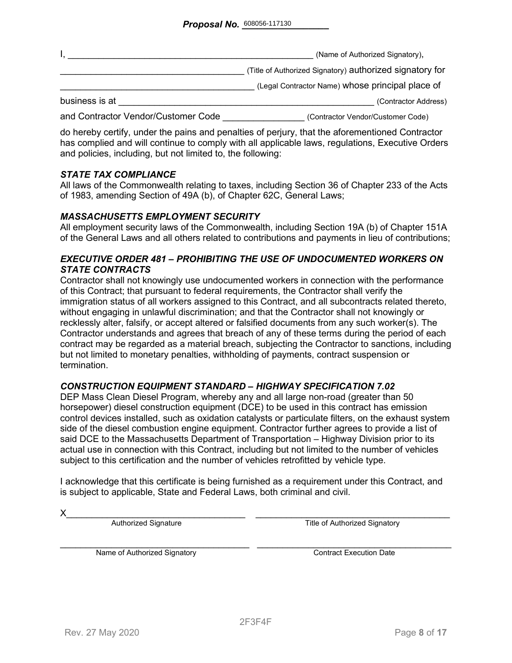|                                     | (Name of Authorized Signatory),                          |
|-------------------------------------|----------------------------------------------------------|
|                                     | (Title of Authorized Signatory) authorized signatory for |
|                                     | (Legal Contractor Name) whose principal place of         |
| business is at                      | (Contractor Address)                                     |
| and Contractor Vendor/Customer Code | (Contractor Vendor/Customer Code)                        |

do hereby certify, under the pains and penalties of perjury, that the aforementioned Contractor has complied and will continue to comply with all applicable laws, regulations, Executive Orders and policies, including, but not limited to, the following:

#### *STATE TAX COMPLIANCE*

All laws of the Commonwealth relating to taxes, including Section 36 of Chapter 233 of the Acts of 1983, amending Section of 49A (b), of Chapter 62C, General Laws;

#### *MASSACHUSETTS EMPLOYMENT SECURITY*

All employment security laws of the Commonwealth, including Section 19A (b) of Chapter 151A of the General Laws and all others related to contributions and payments in lieu of contributions;

#### *EXECUTIVE ORDER 481 – PROHIBITING THE USE OF UNDOCUMENTED WORKERS ON STATE CONTRACTS*

Contractor shall not knowingly use undocumented workers in connection with the performance of this Contract; that pursuant to federal requirements, the Contractor shall verify the immigration status of all workers assigned to this Contract, and all subcontracts related thereto, without engaging in unlawful discrimination; and that the Contractor shall not knowingly or recklessly alter, falsify, or accept altered or falsified documents from any such worker(s). The Contractor understands and agrees that breach of any of these terms during the period of each contract may be regarded as a material breach, subjecting the Contractor to sanctions, including but not limited to monetary penalties, withholding of payments, contract suspension or termination.

#### *CONSTRUCTION EQUIPMENT STANDARD – HIGHWAY SPECIFICATION 7.02*

DEP Mass Clean Diesel Program, whereby any and all large non-road (greater than 50 horsepower) diesel construction equipment (DCE) to be used in this contract has emission control devices installed, such as oxidation catalysts or particulate filters, on the exhaust system side of the diesel combustion engine equipment. Contractor further agrees to provide a list of said DCE to the Massachusetts Department of Transportation – Highway Division prior to its actual use in connection with this Contract, including but not limited to the number of vehicles subject to this certification and the number of vehicles retrofitted by vehicle type.

I acknowledge that this certificate is being furnished as a requirement under this Contract, and is subject to applicable, State and Federal Laws, both criminal and civil.

X\_\_\_\_\_\_\_\_\_\_\_\_\_\_\_\_\_\_\_\_\_\_\_\_\_\_\_\_\_\_\_\_\_\_\_ \_\_\_\_\_\_\_\_\_\_\_\_\_\_\_\_\_\_\_\_\_\_\_\_\_\_\_\_\_\_\_\_\_\_\_\_\_\_ Authorized Signature Title of Authorized Signatory

Name of Authorized Signatory **Execution Contract Execution Date**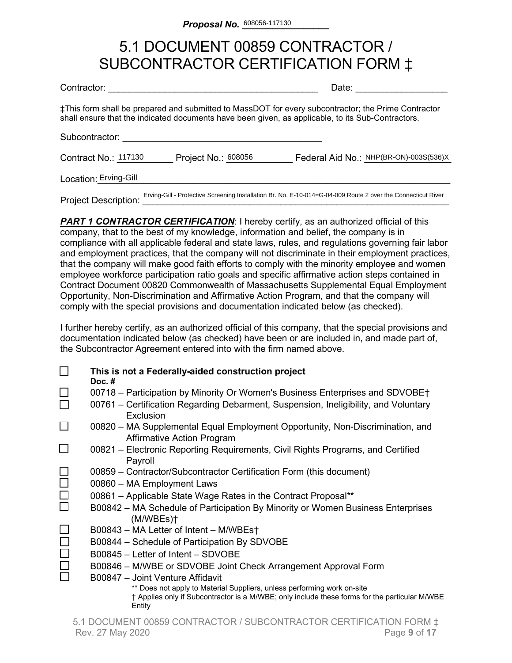### 5.1 DOCUMENT 00859 CONTRACTOR / SUBCONTRACTOR CERTIFICATION FORM ‡

| Contractor:                 |                     | Date:                                                                                                                                                                                                    |
|-----------------------------|---------------------|----------------------------------------------------------------------------------------------------------------------------------------------------------------------------------------------------------|
|                             |                     | ‡This form shall be prepared and submitted to MassDOT for every subcontractor; the Prime Contractor<br>shall ensure that the indicated documents have been given, as applicable, to its Sub-Contractors. |
| Subcontractor:              |                     |                                                                                                                                                                                                          |
| Contract No.: 117130        | Project No.: 608056 | Federal Aid No.: NHP(BR-ON)-003S(536)X                                                                                                                                                                   |
| Location: Erving-Gill       |                     |                                                                                                                                                                                                          |
| <b>Project Description:</b> |                     | Erving-Gill - Protective Screening Installation Br. No. E-10-014=G-04-009 Route 2 over the Connecticut River                                                                                             |

**PART 1 CONTRACTOR CERTIFICATION:** I hereby certify, as an authorized official of this company, that to the best of my knowledge, information and belief, the company is in compliance with all applicable federal and state laws, rules, and regulations governing fair labor and employment practices, that the company will not discriminate in their employment practices, that the company will make good faith efforts to comply with the minority employee and women employee workforce participation ratio goals and specific affirmative action steps contained in Contract Document 00820 Commonwealth of Massachusetts Supplemental Equal Employment Opportunity, Non-Discrimination and Affirmative Action Program, and that the company will comply with the special provisions and documentation indicated below (as checked).

I further hereby certify, as an authorized official of this company, that the special provisions and documentation indicated below (as checked) have been or are included in, and made part of, the Subcontractor Agreement entered into with the firm named above.

|        | This is not a Federally-aided construction project<br>Doc. $#$                                                                                                                     |
|--------|------------------------------------------------------------------------------------------------------------------------------------------------------------------------------------|
|        | 00718 – Participation by Minority Or Women's Business Enterprises and SDVOBE†                                                                                                      |
|        | 00761 – Certification Regarding Debarment, Suspension, Ineligibility, and Voluntary<br>Exclusion                                                                                   |
|        | 00820 – MA Supplemental Equal Employment Opportunity, Non-Discrimination, and<br><b>Affirmative Action Program</b>                                                                 |
|        | 00821 – Electronic Reporting Requirements, Civil Rights Programs, and Certified<br>Payroll                                                                                         |
|        | 00859 - Contractor/Subcontractor Certification Form (this document)                                                                                                                |
| $\Box$ | 00860 - MA Employment Laws                                                                                                                                                         |
| $\Box$ | 00861 - Applicable State Wage Rates in the Contract Proposal**                                                                                                                     |
|        | B00842 - MA Schedule of Participation By Minority or Women Business Enterprises<br>(M/WBEs)                                                                                        |
|        | B00843 – MA Letter of Intent – M/WBEs†                                                                                                                                             |
|        | B00844 – Schedule of Participation By SDVOBE                                                                                                                                       |
|        | B00845 – Letter of Intent – SDVOBE                                                                                                                                                 |
|        | B00846 – M/WBE or SDVOBE Joint Check Arrangement Approval Form                                                                                                                     |
|        | B00847 - Joint Venture Affidavit                                                                                                                                                   |
|        | ** Does not apply to Material Suppliers, unless performing work on-site<br>† Applies only if Subcontractor is a M/WBE; only include these forms for the particular M/WBE<br>Entity |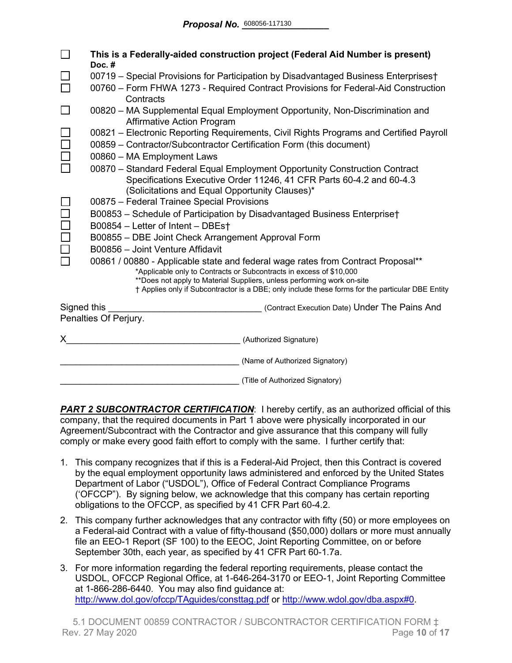|                                                                                                                                                                                                                                                                                                                                       | This is a Federally-aided construction project (Federal Aid Number is present)<br>Doc.#                                                                                                                                             |
|---------------------------------------------------------------------------------------------------------------------------------------------------------------------------------------------------------------------------------------------------------------------------------------------------------------------------------------|-------------------------------------------------------------------------------------------------------------------------------------------------------------------------------------------------------------------------------------|
|                                                                                                                                                                                                                                                                                                                                       | 00719 - Special Provisions for Participation by Disadvantaged Business Enterprises†                                                                                                                                                 |
|                                                                                                                                                                                                                                                                                                                                       | 00760 - Form FHWA 1273 - Required Contract Provisions for Federal-Aid Construction<br>Contracts                                                                                                                                     |
|                                                                                                                                                                                                                                                                                                                                       | 00820 - MA Supplemental Equal Employment Opportunity, Non-Discrimination and<br><b>Affirmative Action Program</b>                                                                                                                   |
|                                                                                                                                                                                                                                                                                                                                       | 00821 – Electronic Reporting Requirements, Civil Rights Programs and Certified Payroll<br>00859 - Contractor/Subcontractor Certification Form (this document)                                                                       |
|                                                                                                                                                                                                                                                                                                                                       | 00860 - MA Employment Laws<br>00870 - Standard Federal Equal Employment Opportunity Construction Contract<br>Specifications Executive Order 11246, 41 CFR Parts 60-4.2 and 60-4.3<br>(Solicitations and Equal Opportunity Clauses)* |
|                                                                                                                                                                                                                                                                                                                                       | 00875 - Federal Trainee Special Provisions                                                                                                                                                                                          |
|                                                                                                                                                                                                                                                                                                                                       | B00853 - Schedule of Participation by Disadvantaged Business Enterprise†                                                                                                                                                            |
|                                                                                                                                                                                                                                                                                                                                       | B00854 - Letter of Intent - DBEst                                                                                                                                                                                                   |
|                                                                                                                                                                                                                                                                                                                                       | B00855 - DBE Joint Check Arrangement Approval Form                                                                                                                                                                                  |
|                                                                                                                                                                                                                                                                                                                                       | B00856 - Joint Venture Affidavit                                                                                                                                                                                                    |
| 00861 / 00880 - Applicable state and federal wage rates from Contract Proposal**<br>*Applicable only to Contracts or Subcontracts in excess of \$10,000<br>**Does not apply to Material Suppliers, unless performing work on-site<br>† Applies only if Subcontractor is a DBE; only include these forms for the particular DBE Entity |                                                                                                                                                                                                                                     |
| Signed this                                                                                                                                                                                                                                                                                                                           | (Contract Execution Date) Under The Pains And<br>Penalties Of Perjury.                                                                                                                                                              |
| X.                                                                                                                                                                                                                                                                                                                                    | (Authorized Signature)                                                                                                                                                                                                              |
|                                                                                                                                                                                                                                                                                                                                       | (Name of Authorized Signatory)                                                                                                                                                                                                      |
|                                                                                                                                                                                                                                                                                                                                       | (Title of Authorized Signatory)                                                                                                                                                                                                     |

**PART 2 SUBCONTRACTOR CERTIFICATION:** I hereby certify, as an authorized official of this company, that the required documents in Part 1 above were physically incorporated in our Agreement/Subcontract with the Contractor and give assurance that this company will fully comply or make every good faith effort to comply with the same. I further certify that:

- 1. This company recognizes that if this is a Federal-Aid Project, then this Contract is covered by the equal employment opportunity laws administered and enforced by the United States Department of Labor ("USDOL"), Office of Federal Contract Compliance Programs ('OFCCP"). By signing below, we acknowledge that this company has certain reporting obligations to the OFCCP, as specified by 41 CFR Part 60-4.2.
- 2. This company further acknowledges that any contractor with fifty (50) or more employees on a Federal-aid Contract with a value of fifty-thousand (\$50,000) dollars or more must annually file an EEO-1 Report (SF 100) to the EEOC, Joint Reporting Committee, on or before September 30th, each year, as specified by 41 CFR Part 60-1.7a.
- 3. For more information regarding the federal reporting requirements, please contact the USDOL, OFCCP Regional Office, at 1-646-264-3170 or EEO-1, Joint Reporting Committee at 1-866-286-6440. You may also find guidance at: <http://www.dol.gov/ofccp/TAguides/consttag.pdf> or [http://www.wdol.gov/dba.aspx#0.](http://www.wdol.gov/dba.aspx#0)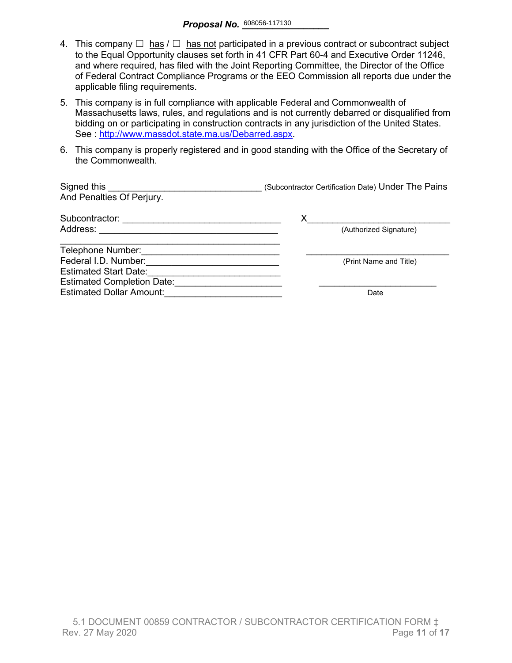- 4. This company  $\Box$  has  $\Box$  has not participated in a previous contract or subcontract subject to the Equal Opportunity clauses set forth in 41 CFR Part 60-4 and Executive Order 11246, and where required, has filed with the Joint Reporting Committee, the Director of the Office of Federal Contract Compliance Programs or the EEO Commission all reports due under the applicable filing requirements.
- 5. This company is in full compliance with applicable Federal and Commonwealth of Massachusetts laws, rules, and regulations and is not currently debarred or disqualified from bidding on or participating in construction contracts in any jurisdiction of the United States. See : http://www.massdot.state.ma.us/Debarred.aspx.
- 6. This company is properly registered and in good standing with the Office of the Secretary of the Commonwealth.

| Signed this<br>And Penalties Of Perjury. | (Subcontractor Certification Date) Under The Pains |
|------------------------------------------|----------------------------------------------------|
| Subcontractor:                           |                                                    |
| Address:                                 | (Authorized Signature)                             |
| Telephone Number:                        |                                                    |
| Federal I.D. Number:                     | (Print Name and Title)                             |
| <b>Estimated Start Date:</b>             |                                                    |
| <b>Estimated Completion Date:</b>        |                                                    |
| <b>Estimated Dollar Amount:</b>          | Date                                               |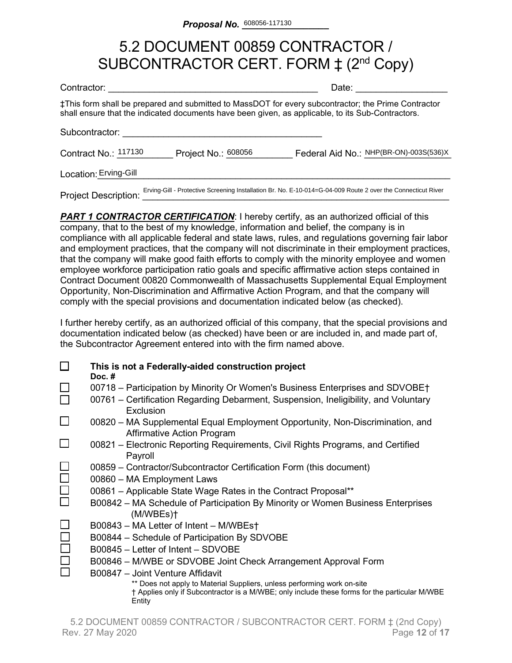### 5.2 DOCUMENT 00859 CONTRACTOR / SUBCONTRACTOR CERT. FORM  $\ddagger$  (2<sup>nd</sup> Copy)

| Contractor:                 |                     | Date:                                                                                                                                                                                                    |
|-----------------------------|---------------------|----------------------------------------------------------------------------------------------------------------------------------------------------------------------------------------------------------|
|                             |                     | ‡This form shall be prepared and submitted to MassDOT for every subcontractor; the Prime Contractor<br>shall ensure that the indicated documents have been given, as applicable, to its Sub-Contractors. |
| Subcontractor:              |                     |                                                                                                                                                                                                          |
| Contract No.: 117130        | Project No.: 608056 | Federal Aid No.: NHP(BR-ON)-003S(536)X                                                                                                                                                                   |
| Location: Erving-Gill       |                     |                                                                                                                                                                                                          |
| <b>Project Description:</b> |                     | Erving-Gill - Protective Screening Installation Br. No. E-10-014=G-04-009 Route 2 over the Connecticut River                                                                                             |

**PART 1 CONTRACTOR CERTIFICATION:** I hereby certify, as an authorized official of this company, that to the best of my knowledge, information and belief, the company is in compliance with all applicable federal and state laws, rules, and regulations governing fair labor and employment practices, that the company will not discriminate in their employment practices, that the company will make good faith efforts to comply with the minority employee and women employee workforce participation ratio goals and specific affirmative action steps contained in Contract Document 00820 Commonwealth of Massachusetts Supplemental Equal Employment Opportunity, Non-Discrimination and Affirmative Action Program, and that the company will comply with the special provisions and documentation indicated below (as checked).

I further hereby certify, as an authorized official of this company, that the special provisions and documentation indicated below (as checked) have been or are included in, and made part of, the Subcontractor Agreement entered into with the firm named above.

|        | This is not a Federally-aided construction project<br>Doc. $#$                                                                                                                     |
|--------|------------------------------------------------------------------------------------------------------------------------------------------------------------------------------------|
|        | 00718 – Participation by Minority Or Women's Business Enterprises and SDVOBE†                                                                                                      |
|        | 00761 – Certification Regarding Debarment, Suspension, Ineligibility, and Voluntary<br>Exclusion                                                                                   |
| ⊔      | 00820 – MA Supplemental Equal Employment Opportunity, Non-Discrimination, and<br>Affirmative Action Program                                                                        |
|        | 00821 – Electronic Reporting Requirements, Civil Rights Programs, and Certified<br>Payroll                                                                                         |
|        | 00859 – Contractor/Subcontractor Certification Form (this document)                                                                                                                |
| $\Box$ | 00860 - MA Employment Laws                                                                                                                                                         |
| $\Box$ | 00861 - Applicable State Wage Rates in the Contract Proposal**                                                                                                                     |
|        | B00842 – MA Schedule of Participation By Minority or Women Business Enterprises<br>(M/WBEs)                                                                                        |
|        | B00843 - MA Letter of Intent - M/WBEst                                                                                                                                             |
|        | B00844 - Schedule of Participation By SDVOBE                                                                                                                                       |
|        | B00845 - Letter of Intent - SDVOBE                                                                                                                                                 |
|        | B00846 – M/WBE or SDVOBE Joint Check Arrangement Approval Form                                                                                                                     |
|        | B00847 - Joint Venture Affidavit                                                                                                                                                   |
|        | ** Does not apply to Material Suppliers, unless performing work on-site<br>† Applies only if Subcontractor is a M/WBE; only include these forms for the particular M/WBE<br>Entity |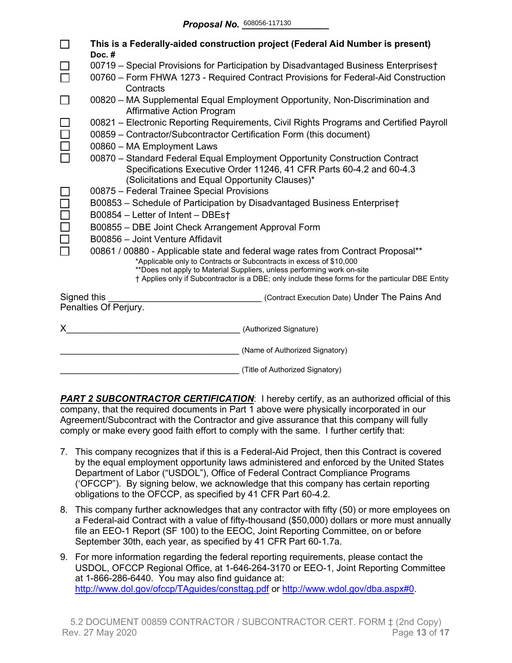|             | This is a Federally-aided construction project (Federal Aid Number is present)<br>Doc.#                                                                                                                                                                                                                                               |  |  |  |  |  |  |  |  |
|-------------|---------------------------------------------------------------------------------------------------------------------------------------------------------------------------------------------------------------------------------------------------------------------------------------------------------------------------------------|--|--|--|--|--|--|--|--|
|             | 00719 - Special Provisions for Participation by Disadvantaged Business Enterprises†                                                                                                                                                                                                                                                   |  |  |  |  |  |  |  |  |
|             | 00760 - Form FHWA 1273 - Required Contract Provisions for Federal-Aid Construction<br>Contracts                                                                                                                                                                                                                                       |  |  |  |  |  |  |  |  |
|             | 00820 – MA Supplemental Equal Employment Opportunity, Non-Discrimination and<br><b>Affirmative Action Program</b>                                                                                                                                                                                                                     |  |  |  |  |  |  |  |  |
|             | 00821 – Electronic Reporting Requirements, Civil Rights Programs and Certified Payroll<br>00859 - Contractor/Subcontractor Certification Form (this document)                                                                                                                                                                         |  |  |  |  |  |  |  |  |
|             | 00860 - MA Employment Laws                                                                                                                                                                                                                                                                                                            |  |  |  |  |  |  |  |  |
|             | 00870 - Standard Federal Equal Employment Opportunity Construction Contract<br>Specifications Executive Order 11246, 41 CFR Parts 60-4.2 and 60-4.3<br>(Solicitations and Equal Opportunity Clauses)*                                                                                                                                 |  |  |  |  |  |  |  |  |
|             | 00875 - Federal Trainee Special Provisions                                                                                                                                                                                                                                                                                            |  |  |  |  |  |  |  |  |
|             | B00853 - Schedule of Participation by Disadvantaged Business Enterprise†                                                                                                                                                                                                                                                              |  |  |  |  |  |  |  |  |
|             | B00854 - Letter of Intent - DBEst                                                                                                                                                                                                                                                                                                     |  |  |  |  |  |  |  |  |
|             | B00855 - DBE Joint Check Arrangement Approval Form                                                                                                                                                                                                                                                                                    |  |  |  |  |  |  |  |  |
|             | B00856 - Joint Venture Affidavit                                                                                                                                                                                                                                                                                                      |  |  |  |  |  |  |  |  |
|             | 00861 / 00880 - Applicable state and federal wage rates from Contract Proposal**<br>*Applicable only to Contracts or Subcontracts in excess of \$10,000<br>**Does not apply to Material Suppliers, unless performing work on-site<br>† Applies only if Subcontractor is a DBE; only include these forms for the particular DBE Entity |  |  |  |  |  |  |  |  |
| Signed this | (Contract Execution Date) Under The Pains And                                                                                                                                                                                                                                                                                         |  |  |  |  |  |  |  |  |
|             | Penalties Of Perjury.                                                                                                                                                                                                                                                                                                                 |  |  |  |  |  |  |  |  |
| X.          | (Authorized Signature)                                                                                                                                                                                                                                                                                                                |  |  |  |  |  |  |  |  |
|             | (Name of Authorized Signatory)                                                                                                                                                                                                                                                                                                        |  |  |  |  |  |  |  |  |
|             | (Title of Authorized Signatory)                                                                                                                                                                                                                                                                                                       |  |  |  |  |  |  |  |  |

**PART 2 SUBCONTRACTOR CERTIFICATION:** I hereby certify, as an authorized official of this company, that the required documents in Part 1 above were physically incorporated in our Agreement/Subcontract with the Contractor and give assurance that this company will fully comply or make every good faith effort to comply with the same. I further certify that:

- 7. This company recognizes that if this is a Federal-Aid Project, then this Contract is covered by the equal employment opportunity laws administered and enforced by the United States Department of Labor ("USDOL"), Office of Federal Contract Compliance Programs ('OFCCP"). By signing below, we acknowledge that this company has certain reporting obligations to the OFCCP, as specified by 41 CFR Part 60-4.2.
- 8. This company further acknowledges that any contractor with fifty (50) or more employees on a Federal-aid Contract with a value of fifty-thousand (\$50,000) dollars or more must annually file an EEO-1 Report (SF 100) to the EEOC, Joint Reporting Committee, on or before September 30th, each year, as specified by 41 CFR Part 60-1.7a.
- 9. For more information regarding the federal reporting requirements, please contact the USDOL, OFCCP Regional Office, at 1-646-264-3170 or EEO-1, Joint Reporting Committee at 1-866-286-6440. You may also find guidance at: <http://www.dol.gov/ofccp/TAguides/consttag.pdf> or [http://www.wdol.gov/dba.aspx#0.](http://www.wdol.gov/dba.aspx#0)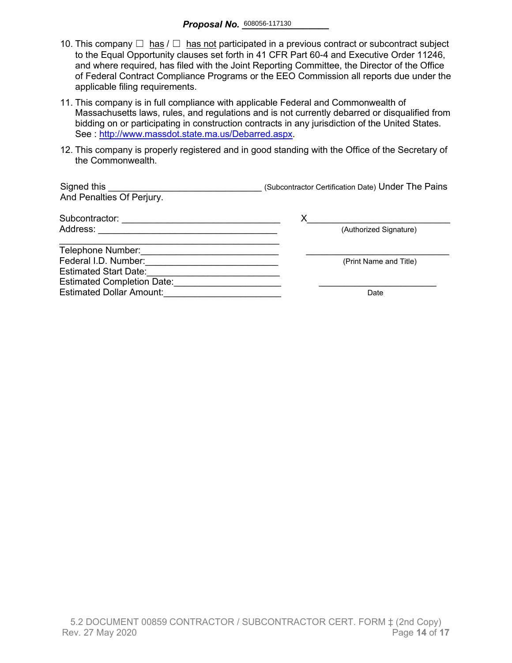- 10. This company  $\Box$  has  $\Box$  has not participated in a previous contract or subcontract subject to the Equal Opportunity clauses set forth in 41 CFR Part 60-4 and Executive Order 11246, and where required, has filed with the Joint Reporting Committee, the Director of the Office of Federal Contract Compliance Programs or the EEO Commission all reports due under the applicable filing requirements.
- 11. This company is in full compliance with applicable Federal and Commonwealth of Massachusetts laws, rules, and regulations and is not currently debarred or disqualified from bidding on or participating in construction contracts in any jurisdiction of the United States. See : [http://www.massdot.state.ma.us/Debarred.aspx.](http://www.massdot.state.ma.us/Debarred.aspx)
- 12. This company is properly registered and in good standing with the Office of the Secretary of the Commonwealth.

| Signed this<br>And Penalties Of Perjury. | (Subcontractor Certification Date) Under The Pains |
|------------------------------------------|----------------------------------------------------|
| Subcontractor:                           |                                                    |
| Address:                                 | (Authorized Signature)                             |
| Telephone Number:                        |                                                    |
| Federal I.D. Number:                     | (Print Name and Title)                             |
| <b>Estimated Start Date:</b>             |                                                    |
| <b>Estimated Completion Date:</b>        |                                                    |
| <b>Estimated Dollar Amount:</b>          | Date                                               |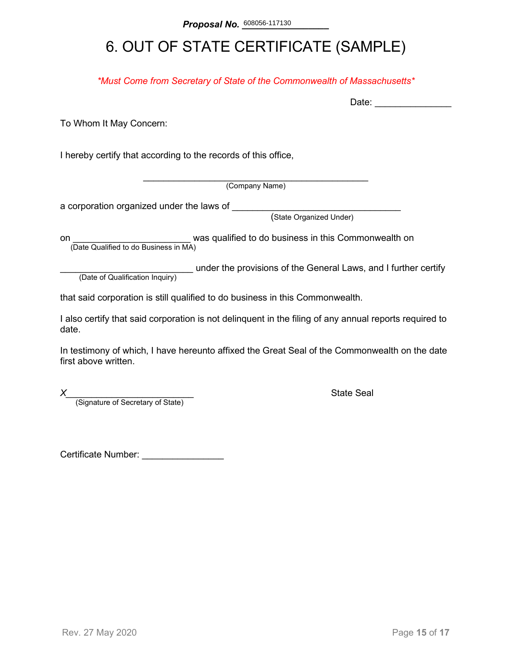## 6. OUT OF STATE CERTIFICATE (SAMPLE)

*\*Must Come from Secretary of State of the Commonwealth of Massachusetts\**

To Whom It May Concern:

I hereby certify that according to the records of this office,

\_\_\_\_\_\_\_\_\_\_\_\_\_\_\_\_\_\_\_\_\_\_\_\_\_\_\_\_\_\_\_\_\_\_\_\_\_\_\_\_\_\_\_\_ (Company Name)

a corporation organized under the laws of \_\_\_\_\_\_\_\_

(State Organized Under)

on **on Example 2** was qualified to do business in this Commonwealth on (Date Qualified to do Business in MA)

(Date of Qualification Inquiry) under the provisions of the General Laws, and I further certify (Date of Qualification Inquiry)

that said corporation is still qualified to do business in this Commonwealth.

I also certify that said corporation is not delinquent in the filing of any annual reports required to date.

In testimony of which, I have hereunto affixed the Great Seal of the Commonwealth on the date first above written.

*X*<br>(Signature of Secretary of State) **Alternative State Seal State Seal Alternative State** 

Certificate Number: \_\_\_\_\_\_\_\_\_\_\_\_\_\_\_\_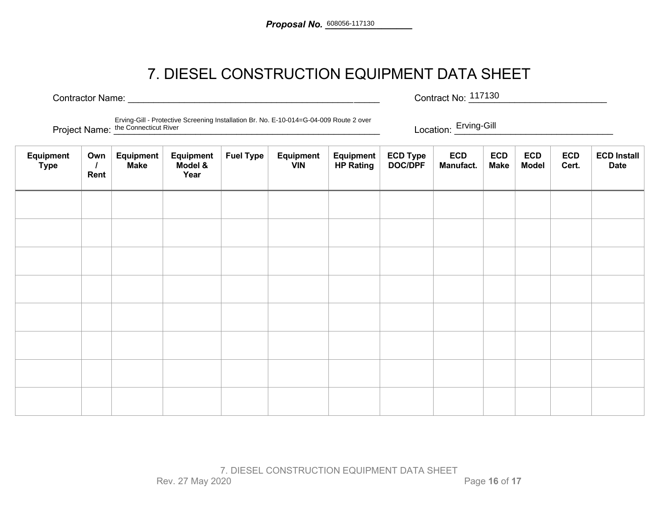### 7. DIESEL CONSTRUCTION EQUIPMENT DATA SHEET

Contractor Name: <u>Contractor Name:</u> Exercise Contract No: <sup>117130</sup> Contract No: 117130

Project Name: \_\_\_\_\_\_\_\_\_\_\_\_\_\_\_\_\_\_\_\_\_\_\_\_\_\_\_\_\_\_\_\_\_\_\_\_\_\_\_\_\_\_\_\_\_\_\_\_\_\_\_\_ Location: \_\_\_\_\_\_\_\_\_\_\_\_\_\_\_\_\_\_\_\_\_\_\_\_\_\_\_\_\_\_\_ the Connecticut RiverErving-Gill - Protective Screening Installation Br. No. E-10-014=G-04-009 Route 2 over

Location: Erving-Gill

| Equipment<br><b>Type</b> | Own<br>Rent | Equipment<br><b>Make</b> | Equipment<br>Model &<br>Year | <b>Fuel Type</b> | Equipment<br><b>VIN</b> | Equipment<br><b>HP Rating</b> | ECD Type<br>DOC/DPF | <b>ECD</b><br>Manufact. | <b>ECD</b><br><b>Make</b> | <b>ECD</b><br><b>Model</b> | <b>ECD</b><br>Cert. | <b>ECD Install</b><br><b>Date</b> |
|--------------------------|-------------|--------------------------|------------------------------|------------------|-------------------------|-------------------------------|---------------------|-------------------------|---------------------------|----------------------------|---------------------|-----------------------------------|
|                          |             |                          |                              |                  |                         |                               |                     |                         |                           |                            |                     |                                   |
|                          |             |                          |                              |                  |                         |                               |                     |                         |                           |                            |                     |                                   |
|                          |             |                          |                              |                  |                         |                               |                     |                         |                           |                            |                     |                                   |
|                          |             |                          |                              |                  |                         |                               |                     |                         |                           |                            |                     |                                   |
|                          |             |                          |                              |                  |                         |                               |                     |                         |                           |                            |                     |                                   |
|                          |             |                          |                              |                  |                         |                               |                     |                         |                           |                            |                     |                                   |
|                          |             |                          |                              |                  |                         |                               |                     |                         |                           |                            |                     |                                   |
|                          |             |                          |                              |                  |                         |                               |                     |                         |                           |                            |                     |                                   |